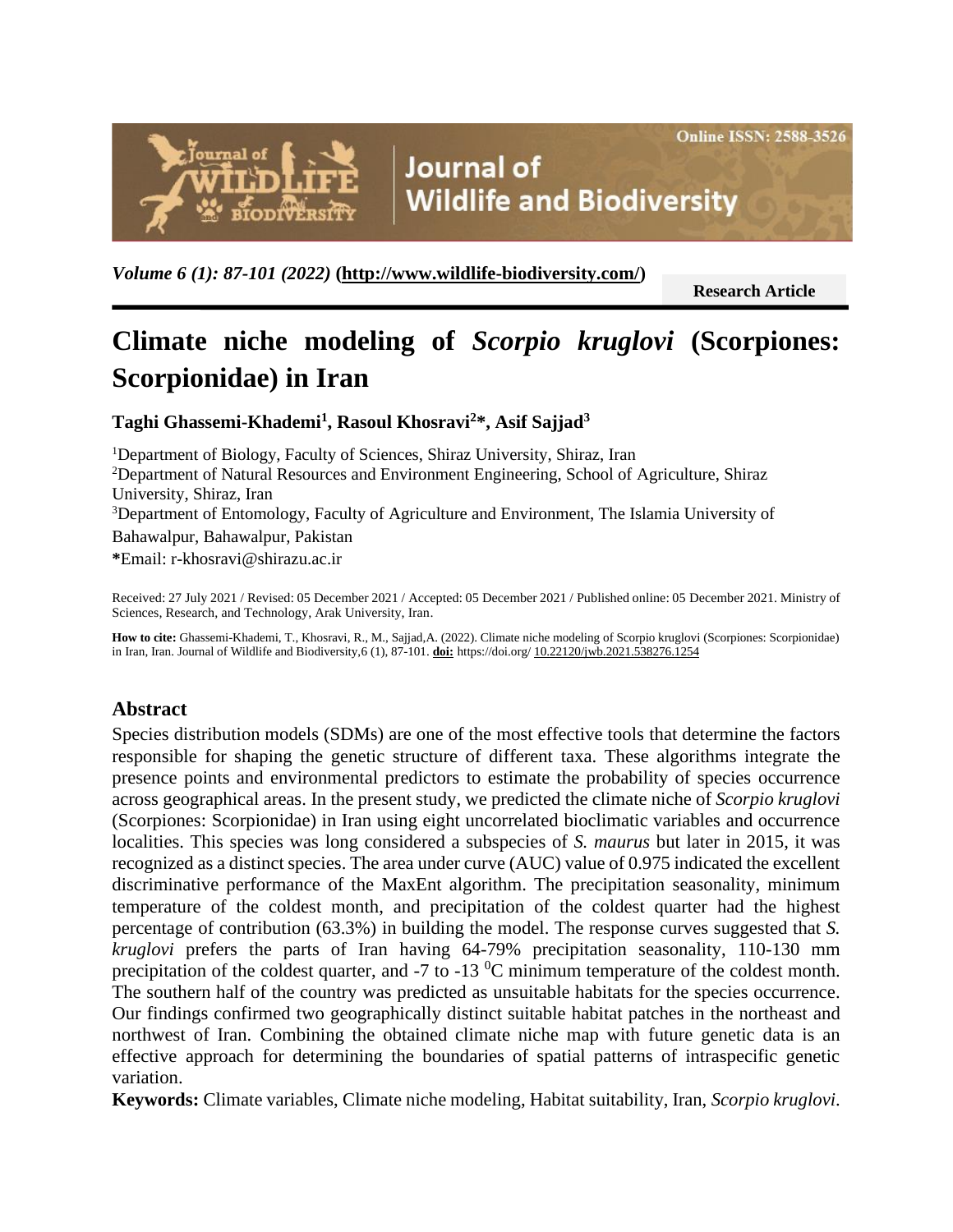

**Journal of Wildlife and Biodiversity** 

*Volume 6 (1): 87-101 (2022)* **[\(http://www.wildlife-biodiversity.com/\)](http://www.wildlife-biodiversity.com/)**

**Research Article communication**

# **Climate niche modeling of** *Scorpio kruglovi* **(Scorpiones: Scorpionidae) in Iran**

**Taghi Ghassemi-Khademi<sup>1</sup> , Rasoul Khosravi<sup>2</sup>\*, Asif Sajjad<sup>3</sup>**

<sup>1</sup>Department of Biology, Faculty of Sciences, Shiraz University, Shiraz, Iran <sup>2</sup>Department of Natural Resources and Environment Engineering, School of Agriculture, Shiraz University, Shiraz, Iran <sup>3</sup>Department of Entomology, Faculty of Agriculture and Environment, The Islamia University of Bahawalpur, Bahawalpur, Pakistan

**\***Email[: r-khosravi@shirazu.ac.ir](mailto:r-khosravi@shirazu.ac.ir)

Received: 27 July 2021 / Revised: 05 December 2021 / Accepted: 05 December 2021 / Published online: 05 December 2021. Ministry of Sciences, Research, and Technology, Arak University, Iran.

**How to cite:** Ghassemi-Khademi, T., Khosravi, R., M., Sajjad,A. (2022). Climate niche modeling of Scorpio kruglovi (Scorpiones: Scorpionidae) in Iran, Iran. Journal of Wildlife and Biodiversity,6 (1), 87-101. **doi:** https://doi.org/ 10.22120/jwb.2021.538276.1254

# **Abstract**

Species distribution models (SDMs) are one of the most effective tools that determine the factors responsible for shaping the genetic structure of different taxa. These algorithms integrate the presence points and environmental predictors to estimate the probability of species occurrence across geographical areas. In the present study, we predicted the climate niche of *Scorpio kruglovi* (Scorpiones: Scorpionidae) in Iran using eight uncorrelated bioclimatic variables and occurrence localities. This species was long considered a subspecies of *S. maurus* but later in 2015, it was recognized as a distinct species. The area under curve (AUC) value of 0.975 indicated the excellent discriminative performance of the MaxEnt algorithm. The precipitation seasonality, minimum temperature of the coldest month, and precipitation of the coldest quarter had the highest percentage of contribution (63.3%) in building the model. The response curves suggested that *S. kruglovi* prefers the parts of Iran having 64-79% precipitation seasonality, 110-130 mm precipitation of the coldest quarter, and  $-7$  to  $-13$  °C minimum temperature of the coldest month. The southern half of the country was predicted as unsuitable habitats for the species occurrence. Our findings confirmed two geographically distinct suitable habitat patches in the northeast and northwest of Iran. Combining the obtained climate niche map with future genetic data is an effective approach for determining the boundaries of spatial patterns of intraspecific genetic variation.

**Keywords:** Climate variables, Climate niche modeling, Habitat suitability, Iran, *Scorpio kruglovi*.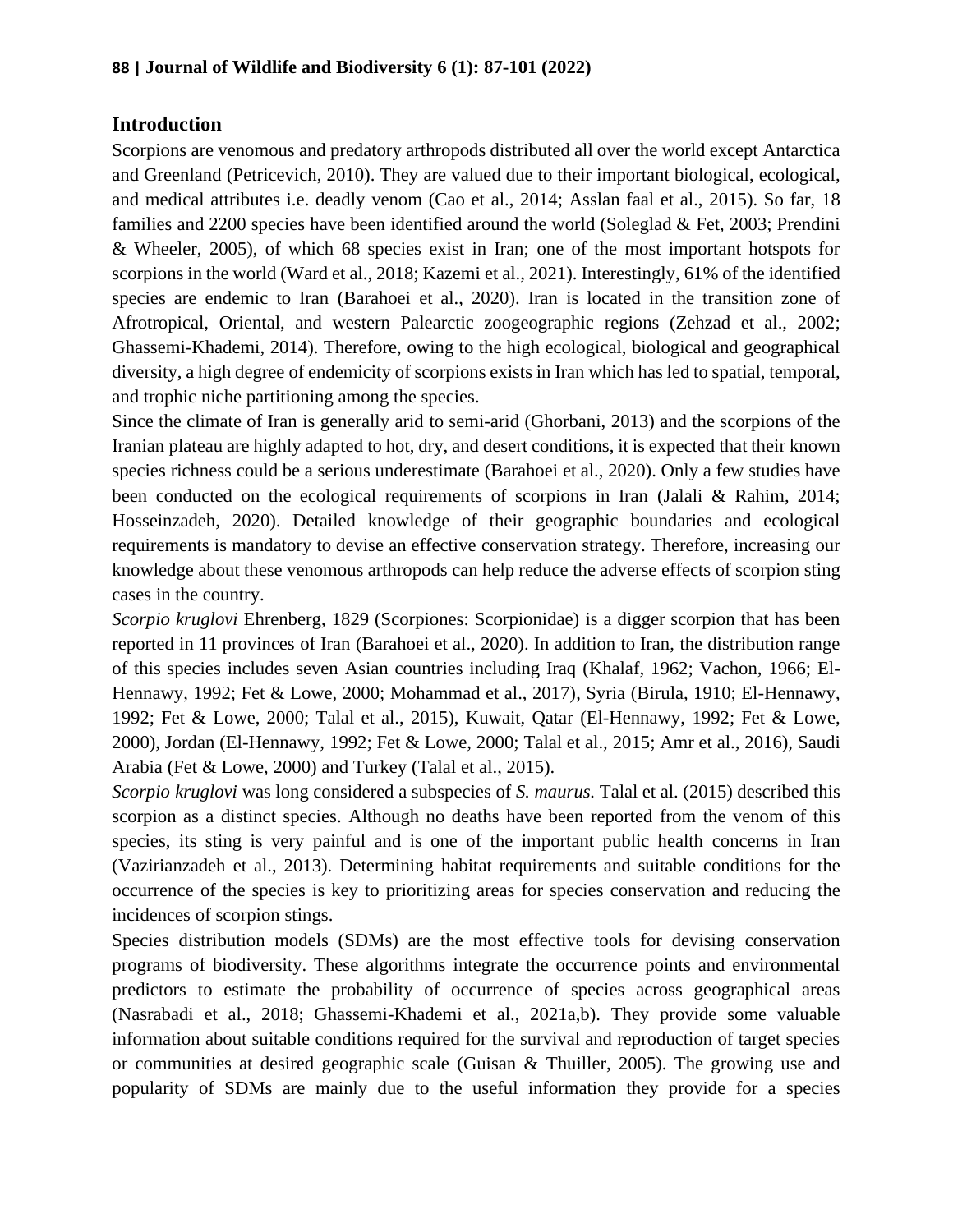#### **Introduction**

Scorpions are venomous and predatory arthropods distributed all over the world except Antarctica and Greenland (Petricevich, 2010). They are valued due to their important biological, ecological, and medical attributes i.e. deadly venom (Cao et al., 2014; Asslan faal et al., 2015). So far, 18 families and 2200 species have been identified around the world (Soleglad & Fet, 2003; Prendini & Wheeler, 2005), of which 68 species exist in Iran; one of the most important hotspots for scorpions in the world (Ward et al., 2018; Kazemi et al., 2021). Interestingly, 61% of the identified species are endemic to Iran (Barahoei et al., 2020). Iran is located in the transition zone of Afrotropical, Oriental, and western Palearctic zoogeographic regions (Zehzad et al., 2002; Ghassemi-Khademi, 2014). Therefore, owing to the high ecological, biological and geographical diversity, a high degree of endemicity of scorpions exists in Iran which has led to spatial, temporal, and trophic niche partitioning among the species.

Since the climate of Iran is generally arid to semi-arid (Ghorbani, 2013) and the scorpions of the Iranian plateau are highly adapted to hot, dry, and desert conditions, it is expected that their known species richness could be a serious underestimate (Barahoei et al., 2020). Only a few studies have been conducted on the ecological requirements of scorpions in Iran (Jalali & Rahim, 2014; Hosseinzadeh, 2020). Detailed knowledge of their geographic boundaries and ecological requirements is mandatory to devise an effective conservation strategy. Therefore, increasing our knowledge about these venomous arthropods can help reduce the adverse effects of scorpion sting cases in the country.

*Scorpio kruglovi* Ehrenberg, 1829 (Scorpiones: Scorpionidae) is a digger scorpion that has been reported in 11 provinces of Iran (Barahoei et al., 2020). In addition to Iran, the distribution range of this species includes seven Asian countries including Iraq (Khalaf, 1962; Vachon, 1966; El-Hennawy, 1992; Fet & Lowe, 2000; Mohammad et al., 2017), Syria (Birula, 1910; El-Hennawy, 1992; Fet & Lowe, 2000; Talal et al., 2015), Kuwait, Qatar (El-Hennawy, 1992; Fet & Lowe, 2000), Jordan (El-Hennawy, 1992; Fet & Lowe, 2000; Talal et al., 2015; Amr et al., 2016), Saudi Arabia (Fet & Lowe, 2000) and Turkey (Talal et al., 2015).

*Scorpio kruglovi* was long considered a subspecies of *S. maurus.* Talal et al. (2015) described this scorpion as a distinct species. Although no deaths have been reported from the venom of this species, its sting is very painful and is one of the important public health concerns in Iran (Vazirianzadeh et al., 2013). Determining habitat requirements and suitable conditions for the occurrence of the species is key to prioritizing areas for species conservation and reducing the incidences of scorpion stings.

Species distribution models (SDMs) are the most effective tools for devising conservation programs of biodiversity. These algorithms integrate the occurrence points and environmental predictors to estimate the probability of occurrence of species across geographical areas (Nasrabadi et al., 2018; Ghassemi-Khademi et al., 2021a,b). They provide some valuable information about suitable conditions required for the survival and reproduction of target species or communities at desired geographic scale (Guisan & Thuiller, 2005). The growing use and popularity of SDMs are mainly due to the useful information they provide for a species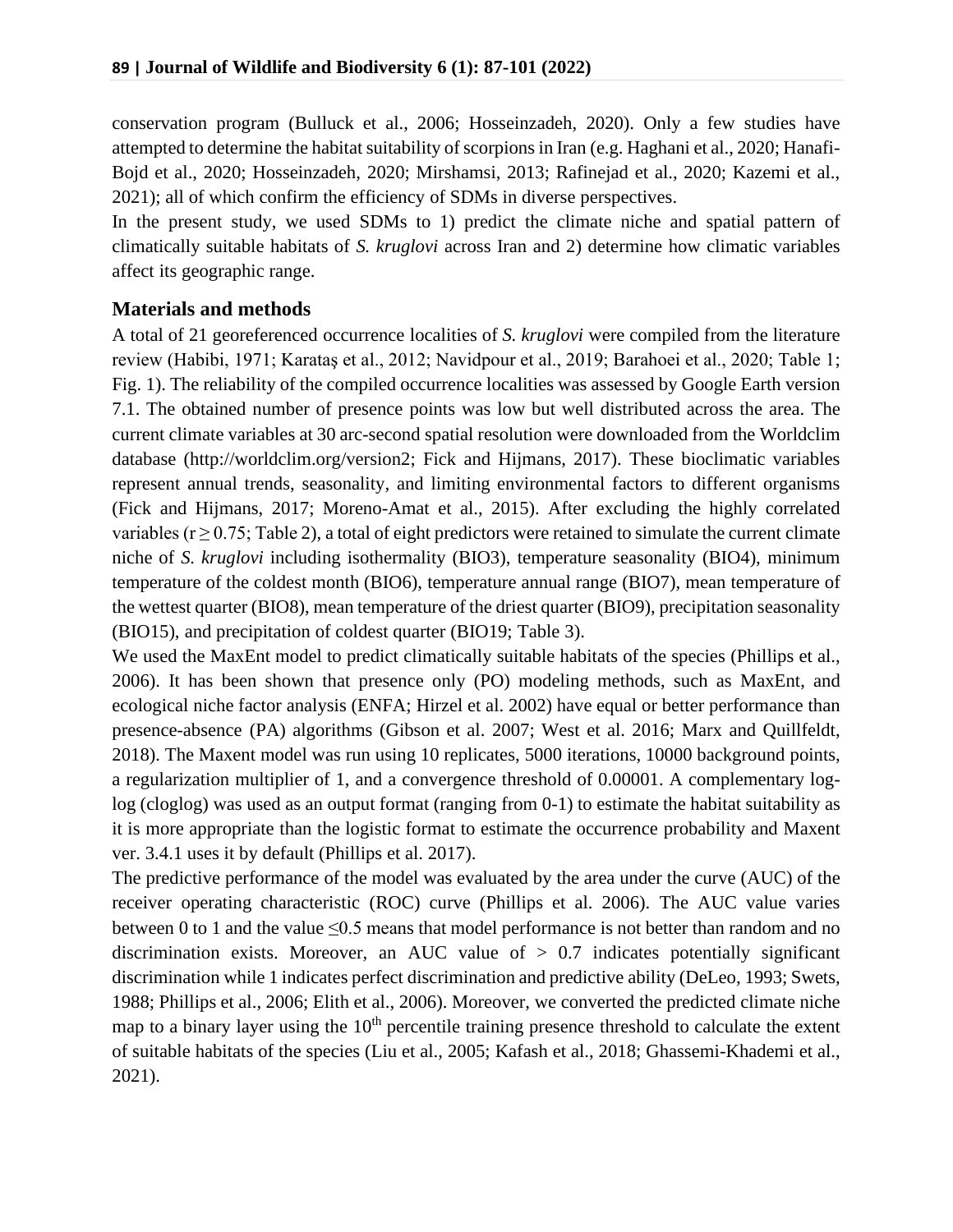conservation program (Bulluck et al., 2006; Hosseinzadeh, 2020). Only a few studies have attempted to determine the habitat suitability of scorpions in Iran (e.g. Haghani et al., 2020; Hanafi-Bojd et al., 2020; Hosseinzadeh, 2020; Mirshamsi, 2013; Rafinejad et al., 2020; Kazemi et al., 2021); all of which confirm the efficiency of SDMs in diverse perspectives.

In the present study, we used SDMs to 1) predict the climate niche and spatial pattern of climatically suitable habitats of *S. kruglovi* across Iran and 2) determine how climatic variables affect its geographic range.

#### **Materials and methods**

A total of 21 georeferenced occurrence localities of *S. kruglovi* were compiled from the literature review (Habibi, 1971; Karataş et al., 2012; Navidpour et al., 2019; Barahoei et al., 2020; Table 1; Fig. 1). The reliability of the compiled occurrence localities was assessed by Google Earth version 7.1. The obtained number of presence points was low but well distributed across the area. The current climate variables at 30 arc-second spatial resolution were downloaded from the Worldclim database (http://worldclim.org/version2; Fick and Hijmans, 2017). These bioclimatic variables represent annual trends, seasonality, and limiting environmental factors to different organisms (Fick and Hijmans, 2017; Moreno-Amat et al., 2015). After excluding the highly correlated variables ( $r \ge 0.75$ ; Table 2), a total of eight predictors were retained to simulate the current climate niche of *S. kruglovi* including isothermality (BIO3), temperature seasonality (BIO4), minimum temperature of the coldest month (BIO6), temperature annual range (BIO7), mean temperature of the wettest quarter (BIO8), mean temperature of the driest quarter (BIO9), precipitation seasonality (BIO15), and precipitation of coldest quarter (BIO19; Table 3).

We used the MaxEnt model to predict climatically suitable habitats of the species (Phillips et al., 2006). It has been shown that presence only (PO) modeling methods, such as MaxEnt, and ecological niche factor analysis (ENFA; Hirzel et al. 2002) have equal or better performance than presence-absence (PA) algorithms (Gibson et al. 2007; West et al. 2016; Marx and Quillfeldt, 2018). The Maxent model was run using 10 replicates, 5000 iterations, 10000 background points, a regularization multiplier of 1, and a convergence threshold of 0.00001. A complementary loglog (cloglog) was used as an output format (ranging from 0-1) to estimate the habitat suitability as it is more appropriate than the logistic format to estimate the occurrence probability and Maxent ver. 3.4.1 uses it by default (Phillips et al. 2017).

The predictive performance of the model was evaluated by the area under the curve (AUC) of the receiver operating characteristic (ROC) curve (Phillips et al. 2006). The AUC value varies between 0 to 1 and the value  $\leq 0.5$  means that model performance is not better than random and no discrimination exists. Moreover, an AUC value of  $> 0.7$  indicates potentially significant discrimination while 1 indicates perfect discrimination and predictive ability (DeLeo, 1993; Swets, 1988; Phillips et al., 2006; Elith et al., 2006). Moreover, we converted the predicted climate niche map to a binary layer using the  $10<sup>th</sup>$  percentile training presence threshold to calculate the extent of suitable habitats of the species (Liu et al., 2005; Kafash et al., 2018; Ghassemi-Khademi et al., 2021).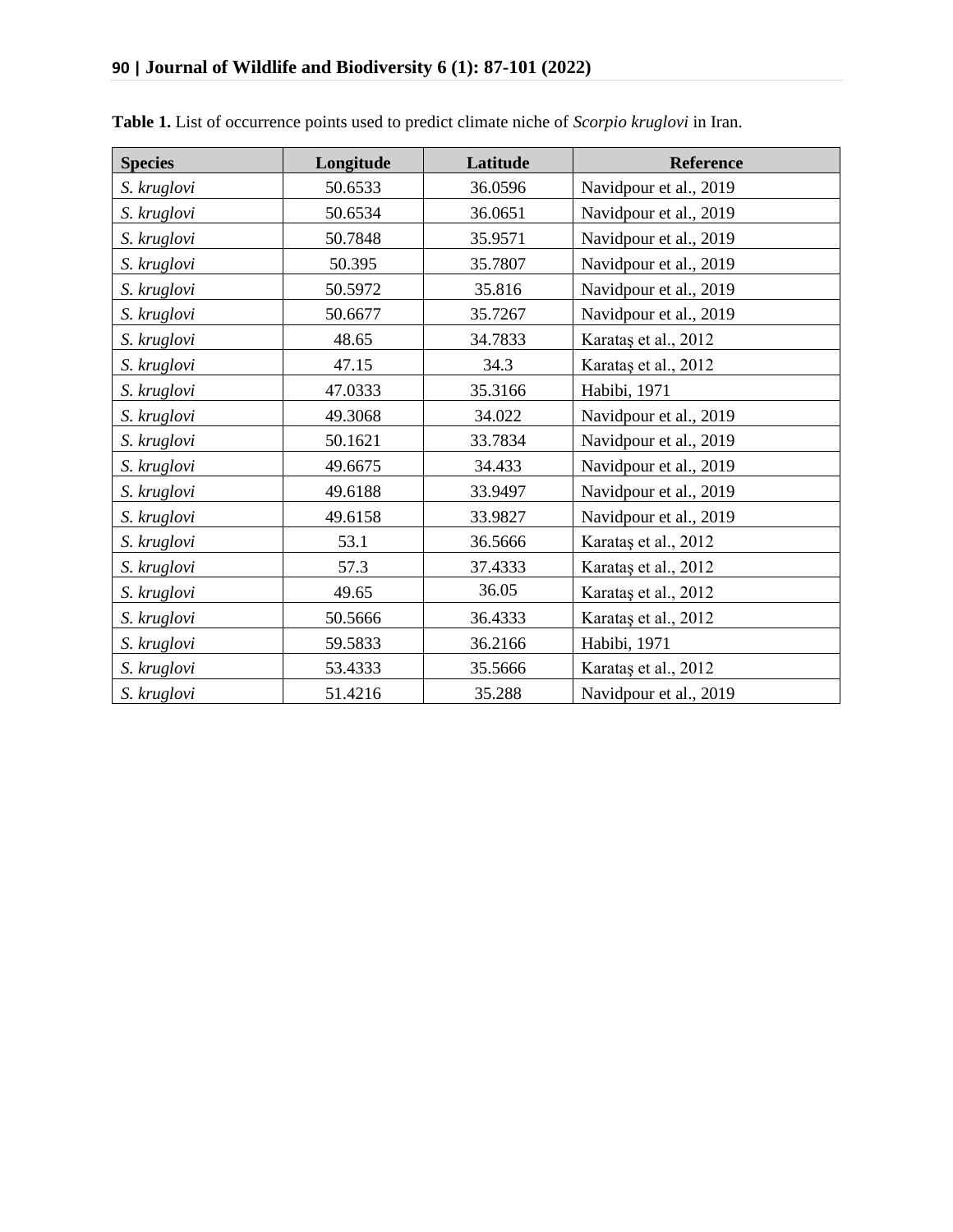| <b>Species</b> | Longitude | Latitude | Reference              |
|----------------|-----------|----------|------------------------|
| S. kruglovi    | 50.6533   | 36.0596  | Navidpour et al., 2019 |
| S. kruglovi    | 50.6534   | 36.0651  | Navidpour et al., 2019 |
| S. kruglovi    | 50.7848   | 35.9571  | Navidpour et al., 2019 |
| S. kruglovi    | 50.395    | 35.7807  | Navidpour et al., 2019 |
| S. kruglovi    | 50.5972   | 35.816   | Navidpour et al., 2019 |
| S. kruglovi    | 50.6677   | 35.7267  | Navidpour et al., 2019 |
| S. kruglovi    | 48.65     | 34.7833  | Karataş et al., 2012   |
| S. kruglovi    | 47.15     | 34.3     | Karataş et al., 2012   |
| S. kruglovi    | 47.0333   | 35.3166  | Habibi, 1971           |
| S. kruglovi    | 49.3068   | 34.022   | Navidpour et al., 2019 |
| S. kruglovi    | 50.1621   | 33.7834  | Navidpour et al., 2019 |
| S. kruglovi    | 49.6675   | 34.433   | Navidpour et al., 2019 |
| S. kruglovi    | 49.6188   | 33.9497  | Navidpour et al., 2019 |
| S. kruglovi    | 49.6158   | 33.9827  | Navidpour et al., 2019 |
| S. kruglovi    | 53.1      | 36.5666  | Karataş et al., 2012   |
| S. kruglovi    | 57.3      | 37.4333  | Karataş et al., 2012   |
| S. kruglovi    | 49.65     | 36.05    | Karataş et al., 2012   |
| S. kruglovi    | 50.5666   | 36.4333  | Karataş et al., 2012   |
| S. kruglovi    | 59.5833   | 36.2166  | Habibi, 1971           |
| S. kruglovi    | 53.4333   | 35.5666  | Karataş et al., 2012   |
| S. kruglovi    | 51.4216   | 35.288   | Navidpour et al., 2019 |

**Table 1.** List of occurrence points used to predict climate niche of *Scorpio kruglovi* in Iran.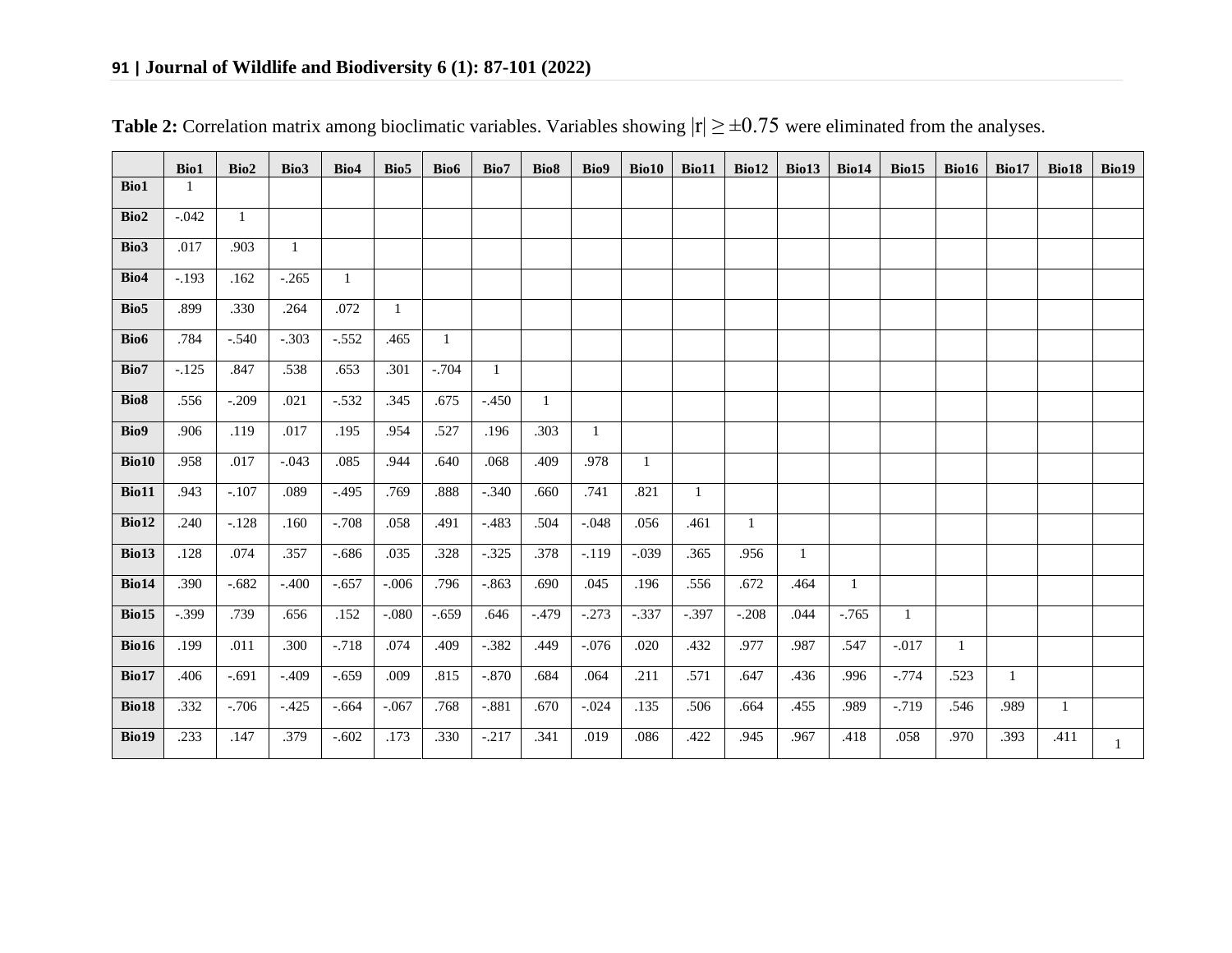|                  | Bio1    | Bio2         | Bio3         | Bio4         | Bio5         | Bio6         | Bio7     | Bio <sub>8</sub> | Bio9         | Bio10        | Bio11   | Bio12        |              | Bio13   Bio14 | Bio15        | Bio16        | Bio17        | Bio18        | Bio19        |
|------------------|---------|--------------|--------------|--------------|--------------|--------------|----------|------------------|--------------|--------------|---------|--------------|--------------|---------------|--------------|--------------|--------------|--------------|--------------|
| Bio1             | 1       |              |              |              |              |              |          |                  |              |              |         |              |              |               |              |              |              |              |              |
| Bio2             | $-.042$ | $\mathbf{1}$ |              |              |              |              |          |                  |              |              |         |              |              |               |              |              |              |              |              |
| Bio3             | .017    | .903         | $\mathbf{1}$ |              |              |              |          |                  |              |              |         |              |              |               |              |              |              |              |              |
| Bio4             | $-.193$ | .162         | $-.265$      | $\mathbf{1}$ |              |              |          |                  |              |              |         |              |              |               |              |              |              |              |              |
| Bio5             | .899    | .330         | .264         | .072         | $\mathbf{1}$ |              |          |                  |              |              |         |              |              |               |              |              |              |              |              |
| Bio6             | .784    | $-.540$      | $-.303$      | $-.552$      | .465         | $\mathbf{1}$ |          |                  |              |              |         |              |              |               |              |              |              |              |              |
| Bio7             | $-.125$ | .847         | .538         | .653         | .301         | $-.704$      | -1       |                  |              |              |         |              |              |               |              |              |              |              |              |
| Bio <sub>8</sub> | .556    | $-.209$      | .021         | $-.532$      | .345         | .675         | $-.450$  | $\mathbf{1}$     |              |              |         |              |              |               |              |              |              |              |              |
| Bio9             | .906    | .119         | .017         | .195         | .954         | .527         | .196     | .303             | $\mathbf{1}$ |              |         |              |              |               |              |              |              |              |              |
| Bio10            | .958    | .017         | $-.043$      | .085         | .944         | .640         | .068     | .409             | .978         | $\mathbf{1}$ |         |              |              |               |              |              |              |              |              |
| <b>Bio11</b>     | .943    | $-.107$      | .089         | $-.495$      | .769         | .888         | $-.340$  | .660             | .741         | .821         | 1       |              |              |               |              |              |              |              |              |
| <b>Bio12</b>     | .240    | $-.128$      | .160         | $-708$       | .058         | .491         | $-483$   | .504             | $-.048$      | .056         | .461    | $\mathbf{1}$ |              |               |              |              |              |              |              |
| Bio13            | .128    | .074         | .357         | $-.686$      | .035         | .328         | $-.325$  | .378             | $-.119$      | $-.039$      | .365    | .956         | $\mathbf{1}$ |               |              |              |              |              |              |
| <b>Bio14</b>     | .390    | $-.682$      | $-.400$      | $-.657$      | $-.006$      | .796         | $-.863$  | .690             | .045         | .196         | .556    | .672         | .464         | $\mathbf{1}$  |              |              |              |              |              |
| Bio15            | $-.399$ | .739         | .656         | .152         | $-.080$      | $-.659$      | .646     | $-.479$          | $-.273$      | $-.337$      | $-.397$ | $-.208$      | .044         | $-.765$       | $\mathbf{1}$ |              |              |              |              |
| Bio16            | .199    | .011         | .300         | $-.718$      | .074         | .409         | $-.382$  | .449             | $-.076$      | .020         | .432    | .977         | .987         | .547          | $-.017$      | $\mathbf{1}$ |              |              |              |
| Bio17            | .406    | $-.691$      | $-.409$      | $-.659$      | .009         | .815         | $-.870$  | .684             | .064         | .211         | .571    | .647         | .436         | .996          | $-.774$      | .523         | $\mathbf{1}$ |              |              |
| <b>Bio18</b>     | .332    | $-.706$      | $-.425$      | $-.664$      | $-.067$      | .768         | $-.881$  | .670             | $-.024$      | .135         | .506    | .664         | .455         | .989          | $-0.719$     | .546         | .989         | $\mathbf{1}$ |              |
| <b>Bio19</b>     | .233    | .147         | .379         | $-.602$      | .173         | .330         | $-0.217$ | .341             | .019         | .086         | .422    | .945         | .967         | .418          | .058         | .970         | .393         | .411         | $\mathbf{1}$ |

|  |  |  |  | <b>Table 2:</b> Correlation matrix among bioclimatic variables. Variables showing $ r  \ge \pm 0.75$ were eliminated from the analyses. |
|--|--|--|--|-----------------------------------------------------------------------------------------------------------------------------------------|
|--|--|--|--|-----------------------------------------------------------------------------------------------------------------------------------------|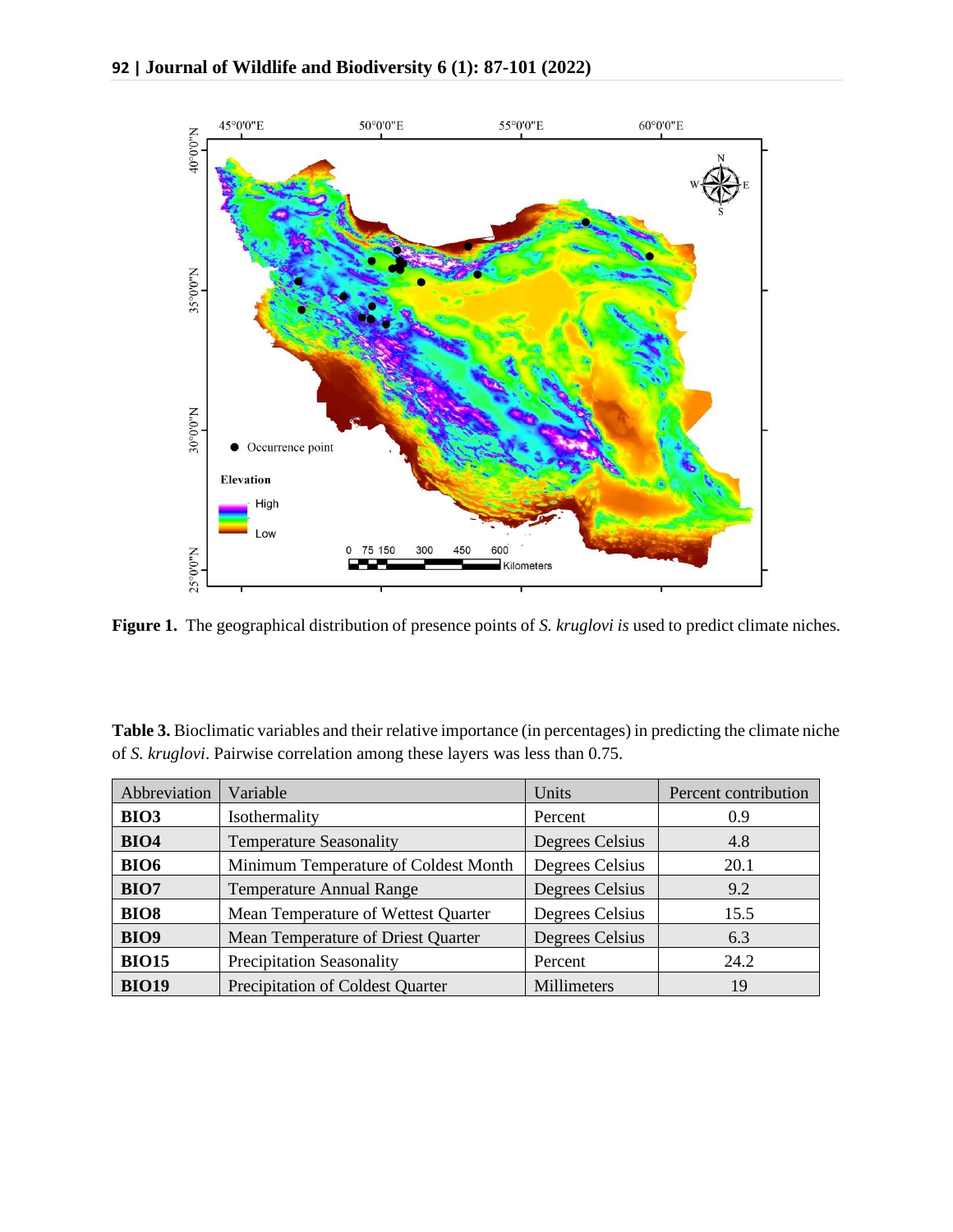

**Figure 1.** The geographical distribution of presence points of *S. kruglovi is* used to predict climate niches.

**Table 3.** Bioclimatic variables and their relative importance (in percentages) in predicting the climate niche of *S. kruglovi*. Pairwise correlation among these layers was less than 0.75.

| Abbreviation | Variable                             | Units           | Percent contribution |
|--------------|--------------------------------------|-----------------|----------------------|
| <b>BIO3</b>  | Isothermality                        | Percent         | 0.9                  |
| <b>BIO4</b>  | <b>Temperature Seasonality</b>       | Degrees Celsius | 4.8                  |
| <b>BIO6</b>  | Minimum Temperature of Coldest Month | Degrees Celsius | 20.1                 |
| <b>BIO7</b>  | <b>Temperature Annual Range</b>      | Degrees Celsius | 9.2                  |
| <b>BIO8</b>  | Mean Temperature of Wettest Quarter  | Degrees Celsius | 15.5                 |
| <b>BIO9</b>  | Mean Temperature of Driest Quarter   | Degrees Celsius | 6.3                  |
| <b>BIO15</b> | <b>Precipitation Seasonality</b>     | Percent         | 24.2                 |
| <b>BIO19</b> | Precipitation of Coldest Quarter     | Millimeters     | 19                   |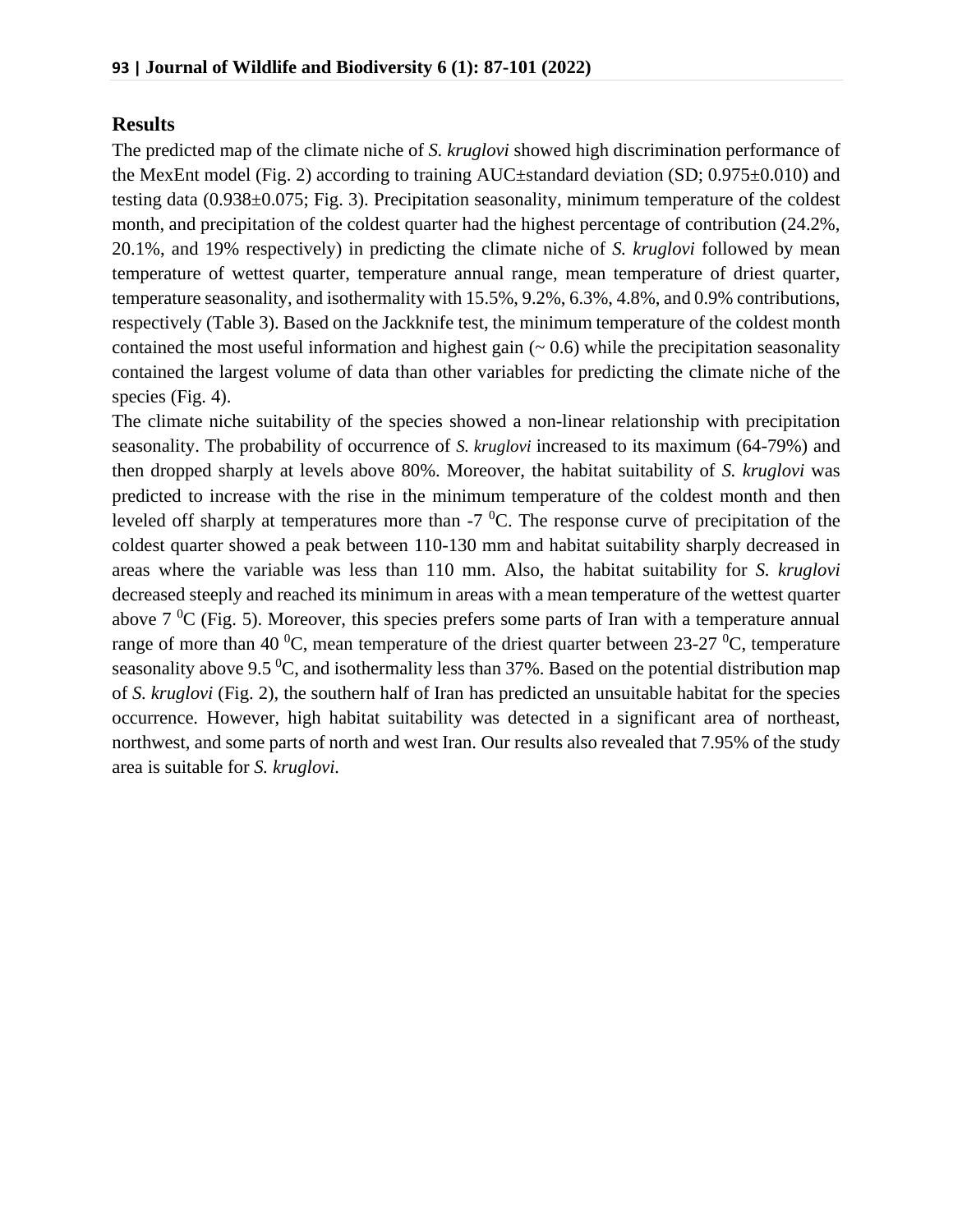#### **Results**

The predicted map of the climate niche of *S. kruglovi* showed high discrimination performance of the MexEnt model (Fig. 2) according to training AUC±standard deviation (SD; 0.975±0.010) and testing data (0.938±0.075; Fig. 3). Precipitation seasonality, minimum temperature of the coldest month, and precipitation of the coldest quarter had the highest percentage of contribution (24.2%, 20.1%, and 19% respectively) in predicting the climate niche of *S. kruglovi* followed by mean temperature of wettest quarter, temperature annual range, mean temperature of driest quarter, temperature seasonality, and isothermality with 15.5%, 9.2%, 6.3%, 4.8%, and 0.9% contributions, respectively (Table 3). Based on the Jackknife test, the minimum temperature of the coldest month contained the most useful information and highest gain  $($   $\sim$  0.6) while the precipitation seasonality contained the largest volume of data than other variables for predicting the climate niche of the species (Fig. 4).

The climate niche suitability of the species showed a non-linear relationship with precipitation seasonality. The probability of occurrence of *S. kruglovi* increased to its maximum (64-79%) and then dropped sharply at levels above 80%. Moreover, the habitat suitability of *S. kruglovi* was predicted to increase with the rise in the minimum temperature of the coldest month and then leveled off sharply at temperatures more than  $-7$  °C. The response curve of precipitation of the coldest quarter showed a peak between 110-130 mm and habitat suitability sharply decreased in areas where the variable was less than 110 mm. Also, the habitat suitability for *S. kruglovi*  decreased steeply and reached its minimum in areas with a mean temperature of the wettest quarter above  $7 \text{ }^0C$  (Fig. 5). Moreover, this species prefers some parts of Iran with a temperature annual range of more than 40  $^0C$ , mean temperature of the driest quarter between 23-27  $^0C$ , temperature seasonality above 9.5  $\mathrm{^0C}$ , and isothermality less than 37%. Based on the potential distribution map of *S. kruglovi* (Fig. 2), the southern half of Iran has predicted an unsuitable habitat for the species occurrence. However, high habitat suitability was detected in a significant area of northeast, northwest, and some parts of north and west Iran. Our results also revealed that 7.95% of the study area is suitable for *S. kruglovi.*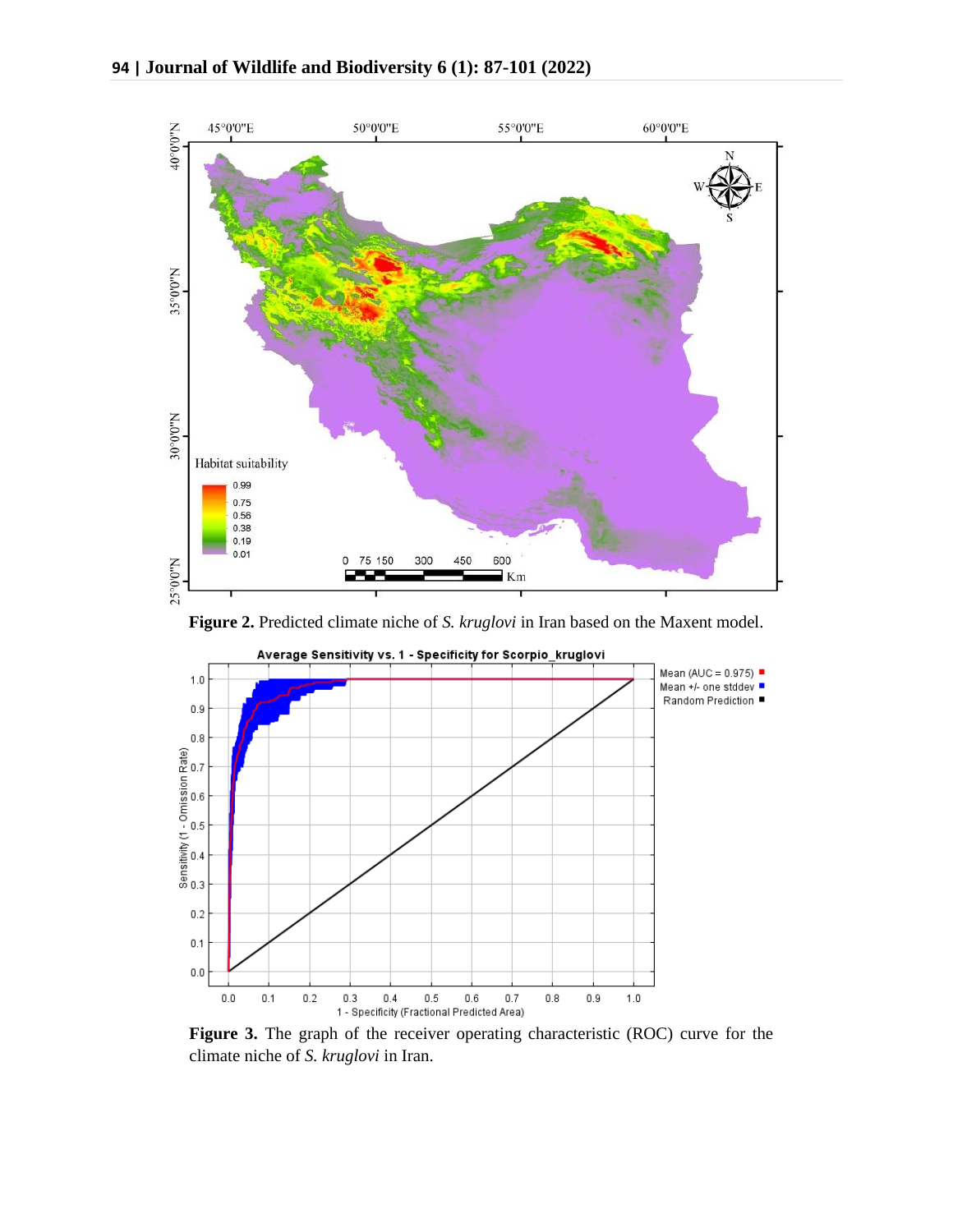

**Figure 2.** Predicted climate niche of *S. kruglovi* in Iran based on the Maxent model.



**Figure 3.** The graph of the receiver operating characteristic (ROC) curve for the climate niche of *S. kruglovi* in Iran.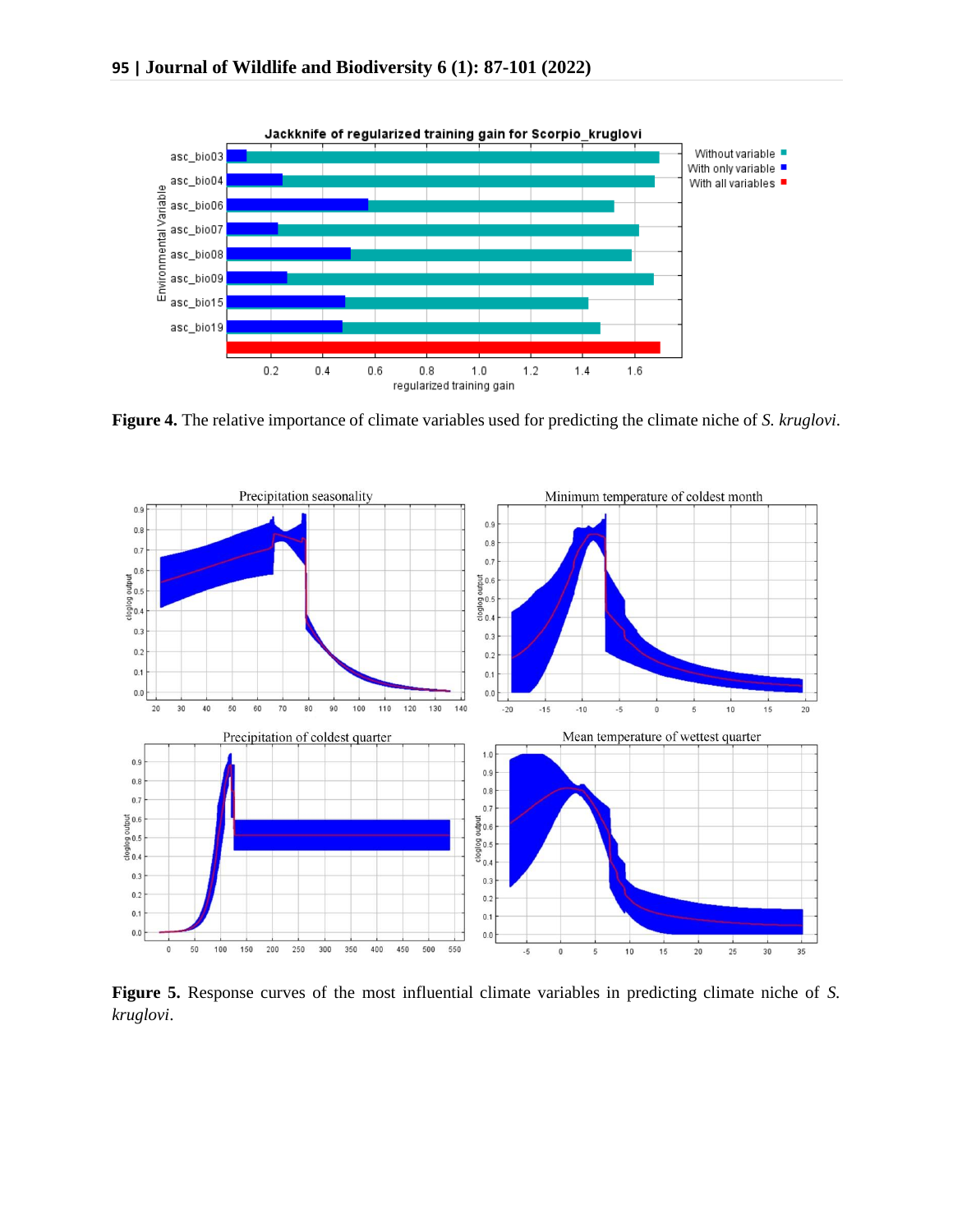

**Figure 4.** The relative importance of climate variables used for predicting the climate niche of *S. kruglovi*.



**Figure 5.** Response curves of the most influential climate variables in predicting climate niche of *S. kruglovi*.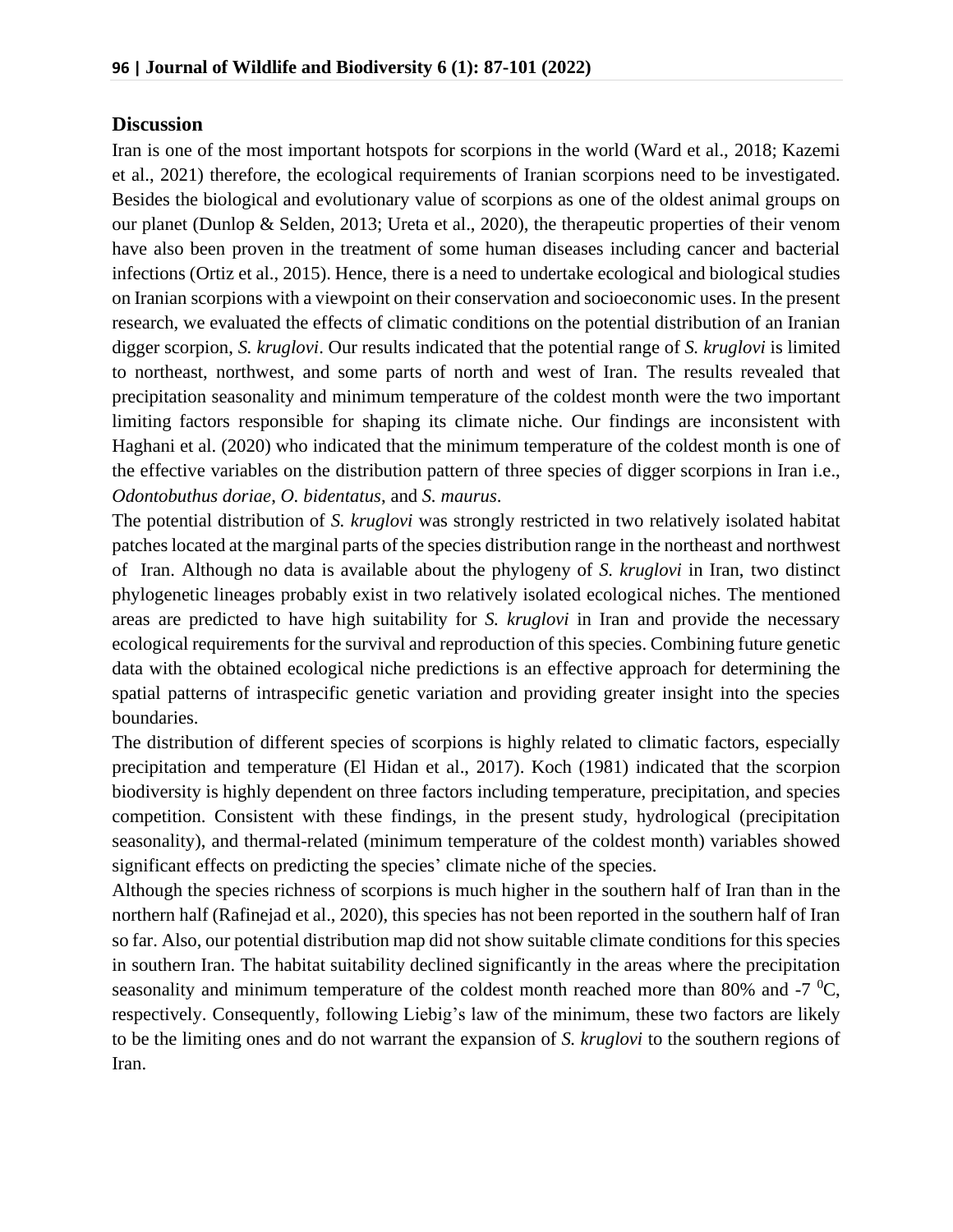#### **Discussion**

Iran is one of the most important hotspots for scorpions in the world (Ward et al., 2018; Kazemi et al., 2021) therefore, the ecological requirements of Iranian scorpions need to be investigated. Besides the biological and evolutionary value of scorpions as one of the oldest animal groups on our planet (Dunlop & Selden, 2013; Ureta et al., 2020), the therapeutic properties of their venom have also been proven in the treatment of some human diseases including cancer and bacterial infections (Ortiz et al., 2015). Hence, there is a need to undertake ecological and biological studies on Iranian scorpions with a viewpoint on their conservation and socioeconomic uses. In the present research, we evaluated the effects of climatic conditions on the potential distribution of an Iranian digger scorpion, *S. kruglovi*. Our results indicated that the potential range of *S. kruglovi* is limited to northeast, northwest, and some parts of north and west of Iran. The results revealed that precipitation seasonality and minimum temperature of the coldest month were the two important limiting factors responsible for shaping its climate niche. Our findings are inconsistent with Haghani et al. (2020) who indicated that the minimum temperature of the coldest month is one of the effective variables on the distribution pattern of three species of digger scorpions in Iran i.e., *Odontobuthus doriae*, *O. bidentatus*, and *S. maurus*.

The potential distribution of *S. kruglovi* was strongly restricted in two relatively isolated habitat patches located at the marginal parts of the species distribution range in the northeast and northwest of Iran. Although no data is available about the phylogeny of *S. kruglovi* in Iran, two distinct phylogenetic lineages probably exist in two relatively isolated ecological niches. The mentioned areas are predicted to have high suitability for *S. kruglovi* in Iran and provide the necessary ecological requirements for the survival and reproduction of this species. Combining future genetic data with the obtained ecological niche predictions is an effective approach for determining the spatial patterns of intraspecific genetic variation and providing greater insight into the species boundaries.

The distribution of different species of scorpions is highly related to climatic factors, especially precipitation and temperature (El Hidan et al., 2017). Koch (1981) indicated that the scorpion biodiversity is highly dependent on three factors including temperature, precipitation, and species competition. Consistent with these findings, in the present study, hydrological (precipitation seasonality), and thermal-related (minimum temperature of the coldest month) variables showed significant effects on predicting the species' climate niche of the species.

Although the species richness of scorpions is much higher in the southern half of Iran than in the northern half (Rafinejad et al., 2020), this species has not been reported in the southern half of Iran so far. Also, our potential distribution map did not show suitable climate conditions for this species in southern Iran. The habitat suitability declined significantly in the areas where the precipitation seasonality and minimum temperature of the coldest month reached more than 80% and  $-7\degree C$ , respectively. Consequently, following Liebig's law of the minimum, these two factors are likely to be the limiting ones and do not warrant the expansion of *S. kruglovi* to the southern regions of Iran.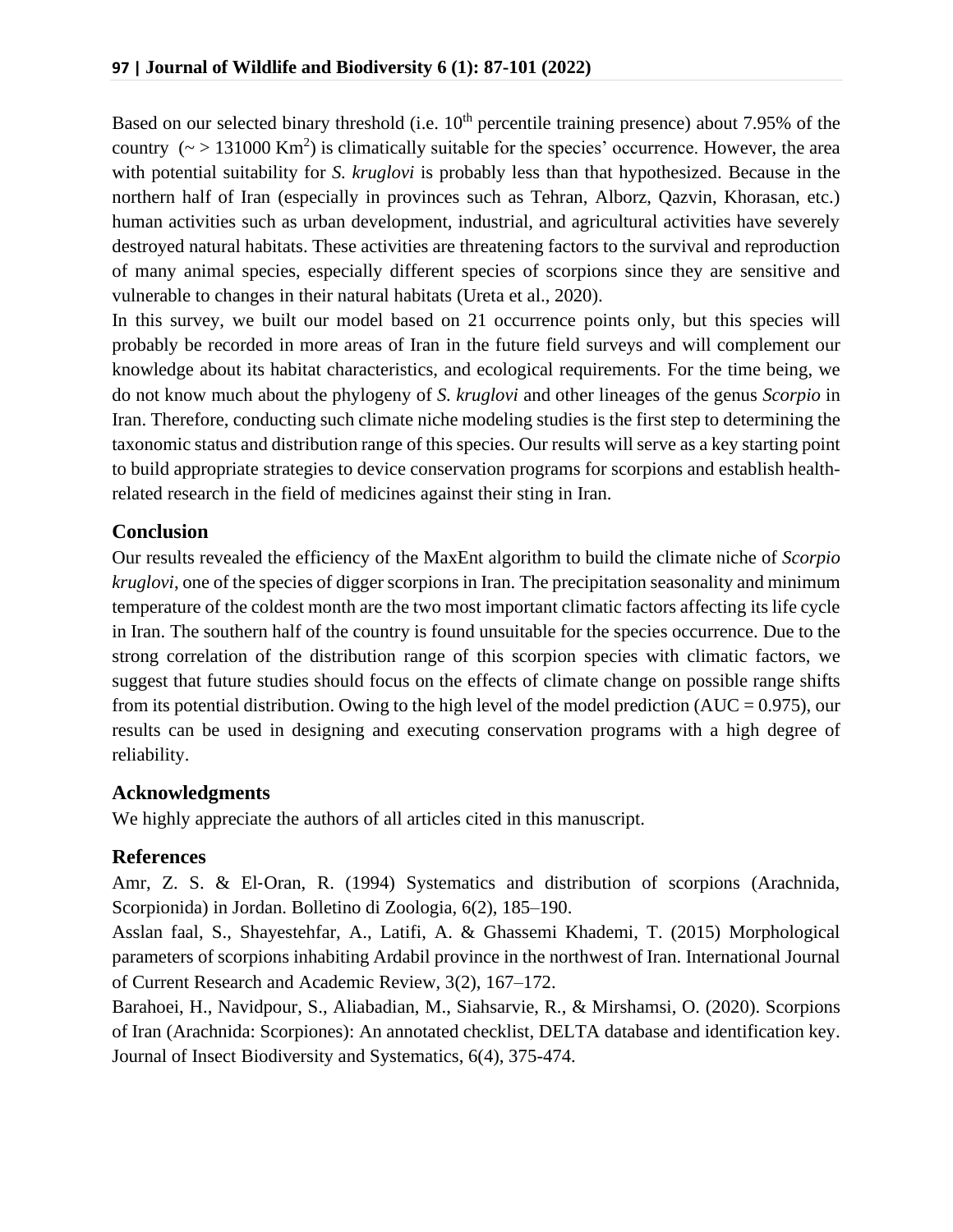Based on our selected binary threshold (i.e.  $10<sup>th</sup>$  percentile training presence) about 7.95% of the country  $(\sim > 131000 \text{ Km}^2)$  is climatically suitable for the species' occurrence. However, the area with potential suitability for *S. kruglovi* is probably less than that hypothesized. Because in the northern half of Iran (especially in provinces such as Tehran, Alborz, Qazvin, Khorasan, etc.) human activities such as urban development, industrial, and agricultural activities have severely destroyed natural habitats. These activities are threatening factors to the survival and reproduction of many animal species, especially different species of scorpions since they are sensitive and vulnerable to changes in their natural habitats (Ureta et al., 2020).

In this survey, we built our model based on 21 occurrence points only, but this species will probably be recorded in more areas of Iran in the future field surveys and will complement our knowledge about its habitat characteristics, and ecological requirements. For the time being, we do not know much about the phylogeny of *S. kruglovi* and other lineages of the genus *Scorpio* in Iran. Therefore, conducting such climate niche modeling studies is the first step to determining the taxonomic status and distribution range of this species. Our results will serve as a key starting point to build appropriate strategies to device conservation programs for scorpions and establish healthrelated research in the field of medicines against their sting in Iran.

## **Conclusion**

Our results revealed the efficiency of the MaxEnt algorithm to build the climate niche of *Scorpio kruglovi*, one of the species of digger scorpions in Iran. The precipitation seasonality and minimum temperature of the coldest month are the two most important climatic factors affecting its life cycle in Iran. The southern half of the country is found unsuitable for the species occurrence. Due to the strong correlation of the distribution range of this scorpion species with climatic factors, we suggest that future studies should focus on the effects of climate change on possible range shifts from its potential distribution. Owing to the high level of the model prediction (AUC =  $0.975$ ), our results can be used in designing and executing conservation programs with a high degree of reliability.

## **Acknowledgments**

We highly appreciate the authors of all articles cited in this manuscript.

# **References**

Amr, Z. S. & El‐Oran, R. (1994) Systematics and distribution of scorpions (Arachnida, Scorpionida) in Jordan. Bolletino di Zoologia, 6(2), 185–190.

Asslan faal, S., Shayestehfar, A., Latifi, A. & Ghassemi Khademi, T. (2015) Morphological parameters of scorpions inhabiting Ardabil province in the northwest of Iran. International Journal of Current Research and Academic Review, 3(2), 167–172.

Barahoei, H., Navidpour, S., Aliabadian, M., Siahsarvie, R., & Mirshamsi, O. (2020). Scorpions of Iran (Arachnida: Scorpiones): An annotated checklist, DELTA database and identification key. Journal of Insect Biodiversity and Systematics, 6(4), 375-474.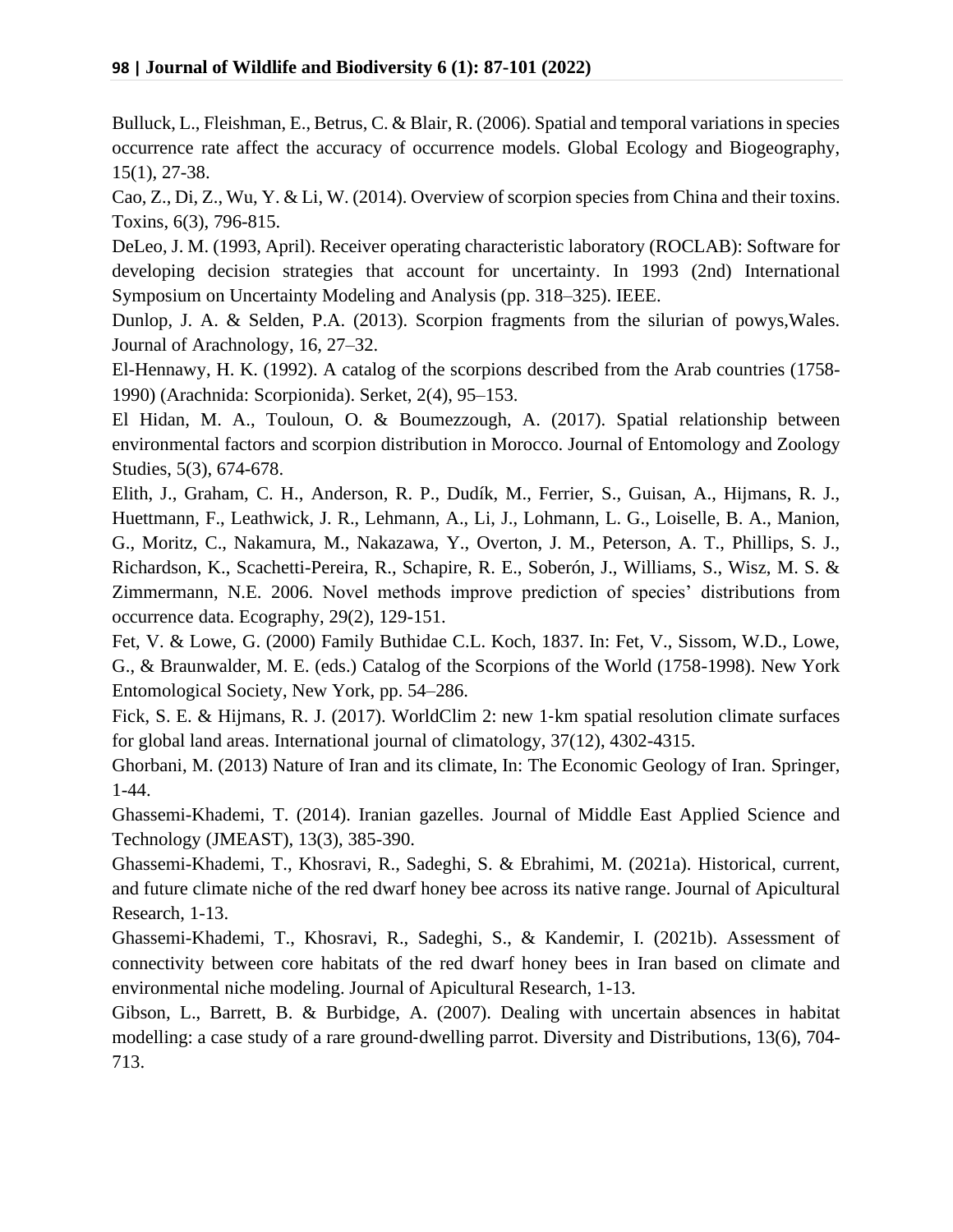Bulluck, L., Fleishman, E., Betrus, C. & Blair, R. (2006). Spatial and temporal variations in species occurrence rate affect the accuracy of occurrence models. Global Ecology and Biogeography, 15(1), 27-38.

Cao, Z., Di, Z., Wu, Y. & Li, W. (2014). Overview of scorpion species from China and their toxins. Toxins, 6(3), 796-815.

DeLeo, J. M. (1993, April). Receiver operating characteristic laboratory (ROCLAB): Software for developing decision strategies that account for uncertainty. In 1993 (2nd) International Symposium on Uncertainty Modeling and Analysis (pp. 318–325). IEEE.

Dunlop, J. A. & Selden, P.A. (2013). Scorpion fragments from the silurian of powys,Wales. Journal of Arachnology, 16, 27–32.

El-Hennawy, H. K. (1992). A catalog of the scorpions described from the Arab countries (1758- 1990) (Arachnida: Scorpionida). Serket, 2(4), 95–153.

El Hidan, M. A., Touloun, O. & Boumezzough, A. (2017). Spatial relationship between environmental factors and scorpion distribution in Morocco. Journal of Entomology and Zoology Studies, 5(3), 674-678.

Elith, J., Graham, C. H., Anderson, R. P., Dudík, M., Ferrier, S., Guisan, A., Hijmans, R. J., Huettmann, F., Leathwick, J. R., Lehmann, A., Li, J., Lohmann, L. G., Loiselle, B. A., Manion, G., Moritz, C., Nakamura, M., Nakazawa, Y., Overton, J. M., Peterson, A. T., Phillips, S. J., Richardson, K., Scachetti-Pereira, R., Schapire, R. E., Soberón, J., Williams, S., Wisz, M. S. & Zimmermann, N.E. 2006. Novel methods improve prediction of species' distributions from occurrence data. Ecography, 29(2), 129-151.

Fet, V. & Lowe, G. (2000) Family Buthidae C.L. Koch, 1837. In: Fet, V., Sissom, W.D., Lowe, G., & Braunwalder, M. E. (eds.) Catalog of the Scorpions of the World (1758-1998). New York Entomological Society, New York, pp. 54–286.

Fick, S. E. & Hijmans, R. J. (2017). WorldClim 2: new 1‐km spatial resolution climate surfaces for global land areas. International journal of climatology, 37(12), 4302-4315.

Ghorbani, M. (2013) Nature of Iran and its climate, In: The Economic Geology of Iran. Springer, 1-44.

Ghassemi-Khademi, T. (2014). Iranian gazelles. Journal of Middle East Applied Science and Technology (JMEAST), 13(3), 385-390.

Ghassemi-Khademi, T., Khosravi, R., Sadeghi, S. & Ebrahimi, M. (2021a). Historical, current, and future climate niche of the red dwarf honey bee across its native range. Journal of Apicultural Research, 1-13.

Ghassemi-Khademi, T., Khosravi, R., Sadeghi, S., & Kandemir, I. (2021b). Assessment of connectivity between core habitats of the red dwarf honey bees in Iran based on climate and environmental niche modeling. Journal of Apicultural Research, 1-13.

Gibson, L., Barrett, B. & Burbidge, A. (2007). Dealing with uncertain absences in habitat modelling: a case study of a rare ground‐dwelling parrot. Diversity and Distributions, 13(6), 704- 713.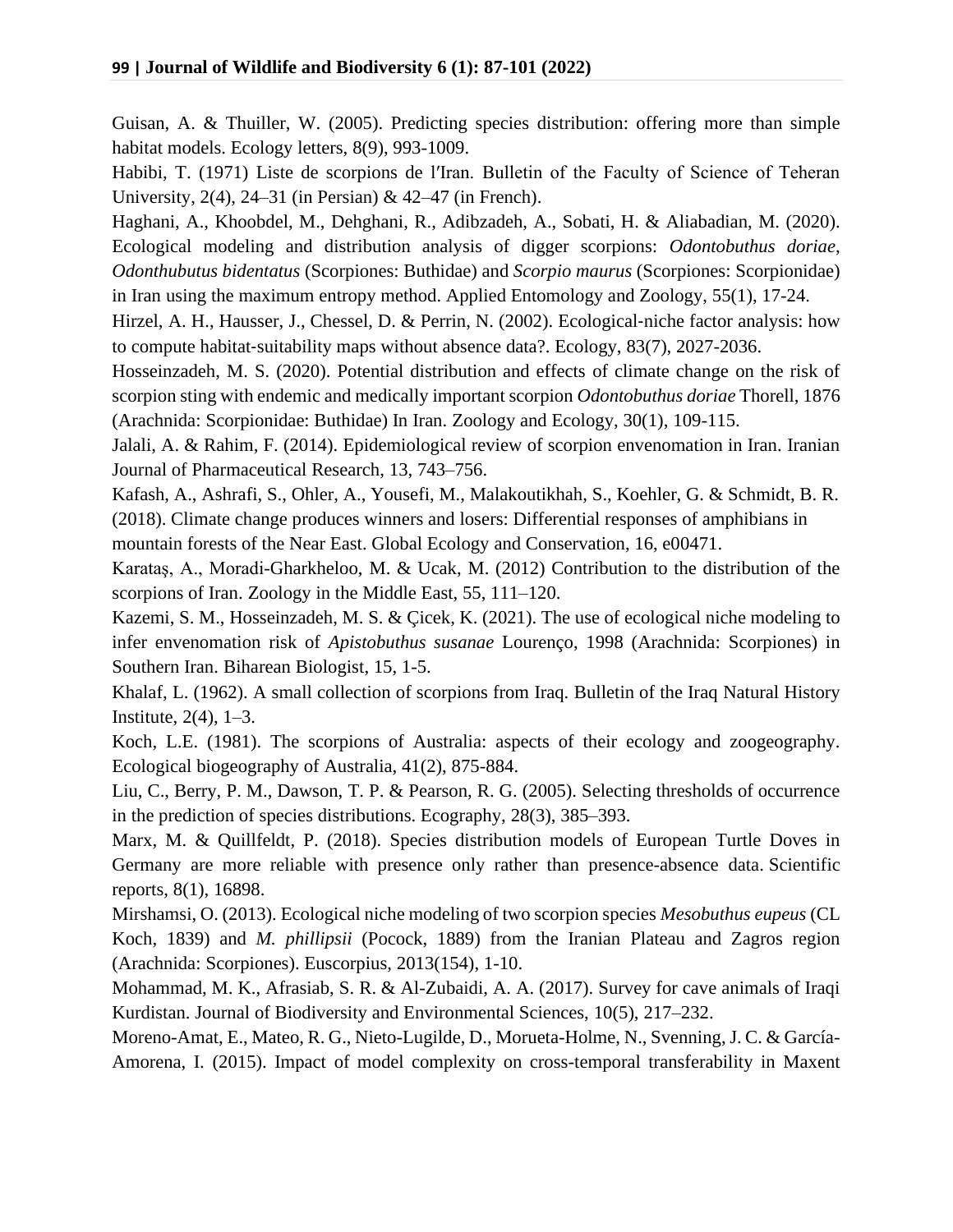Guisan, A. & Thuiller, W. (2005). Predicting species distribution: offering more than simple habitat models. Ecology letters, 8(9), 993-1009.

Habibi, T. (1971) Liste de scorpions de l′Iran. Bulletin of the Faculty of Science of Teheran University, 2(4), 24–31 (in Persian) & 42–47 (in French).

Haghani, A., Khoobdel, M., Dehghani, R., Adibzadeh, A., Sobati, H. & Aliabadian, M. (2020). Ecological modeling and distribution analysis of digger scorpions: *Odontobuthus doriae*, *Odonthubutus bidentatus* (Scorpiones: Buthidae) and *Scorpio maurus* (Scorpiones: Scorpionidae) in Iran using the maximum entropy method. Applied Entomology and Zoology, 55(1), 17-24.

Hirzel, A. H., Hausser, J., Chessel, D. & Perrin, N. (2002). Ecological-niche factor analysis: how to compute habitat-suitability maps without absence data?. Ecology, 83(7), 2027-2036.

Hosseinzadeh, M. S. (2020). Potential distribution and effects of climate change on the risk of scorpion sting with endemic and medically important scorpion *Odontobuthus doriae* Thorell, 1876 (Arachnida: Scorpionidae: Buthidae) In Iran. Zoology and Ecology, 30(1), 109-115.

Jalali, A. & Rahim, F. (2014). Epidemiological review of scorpion envenomation in Iran. Iranian Journal of Pharmaceutical Research, 13, 743–756.

Kafash, A., Ashrafi, S., Ohler, A., Yousefi, M., Malakoutikhah, S., Koehler, G. & Schmidt, B. R. (2018). Climate change produces winners and losers: Differential responses of amphibians in mountain forests of the Near East. Global Ecology and Conservation, 16, e00471.

Karataş, A., Moradi-Gharkheloo, M. & Ucak, M. (2012) Contribution to the distribution of the scorpions of Iran. Zoology in the Middle East, 55, 111–120.

Kazemi, S. M., Hosseinzadeh, M. S. & Çicek, K. (2021). The use of ecological niche modeling to infer envenomation risk of *Apistobuthus susanae* Lourenço, 1998 (Arachnida: Scorpiones) in Southern Iran. Biharean Biologist, 15, 1-5.

Khalaf, L. (1962). A small collection of scorpions from Iraq. Bulletin of the Iraq Natural History Institute, 2(4), 1–3.

Koch, L.E. (1981). The scorpions of Australia: aspects of their ecology and zoogeography. Ecological biogeography of Australia, 41(2), 875-884.

Liu, C., Berry, P. M., Dawson, T. P. & Pearson, R. G. (2005). Selecting thresholds of occurrence in the prediction of species distributions. Ecography, 28(3), 385–393.

Marx, M. & Quillfeldt, P. (2018). Species distribution models of European Turtle Doves in Germany are more reliable with presence only rather than presence-absence data. Scientific reports, 8(1), 16898.

Mirshamsi, O. (2013). Ecological niche modeling of two scorpion species *Mesobuthus eupeus* (CL Koch, 1839) and *M. phillipsii* (Pocock, 1889) from the Iranian Plateau and Zagros region (Arachnida: Scorpiones). Euscorpius, 2013(154), 1-10.

Mohammad, M. K., Afrasiab, S. R. & Al-Zubaidi, A. A. (2017). Survey for cave animals of Iraqi Kurdistan. Journal of Biodiversity and Environmental Sciences, 10(5), 217–232.

Moreno-Amat, E., Mateo, R. G., Nieto-Lugilde, D., Morueta-Holme, N., Svenning, J. C. & García-Amorena, I. (2015). Impact of model complexity on cross-temporal transferability in Maxent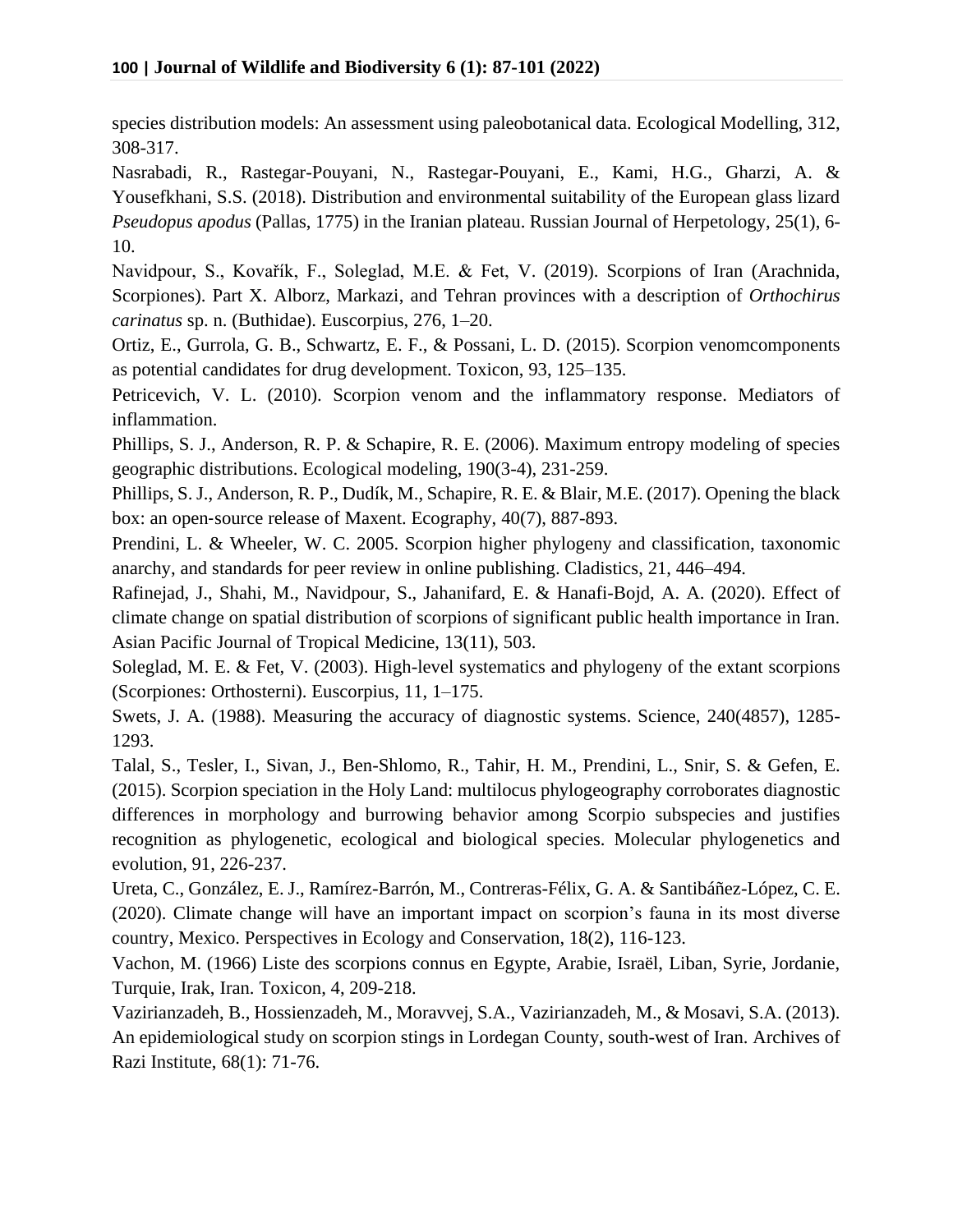species distribution models: An assessment using paleobotanical data. Ecological Modelling, 312, 308-317.

Nasrabadi, R., Rastegar-Pouyani, N., Rastegar-Pouyani, E., Kami, H.G., Gharzi, A. & Yousefkhani, S.S. (2018). Distribution and environmental suitability of the European glass lizard *Pseudopus apodus* (Pallas, 1775) in the Iranian plateau. Russian Journal of Herpetology, 25(1), 6- 10.

Navidpour, S., Kovařík, F., Soleglad, M.E. & Fet, V. (2019). Scorpions of Iran (Arachnida, Scorpiones). Part X. Alborz, Markazi, and Tehran provinces with a description of *Orthochirus carinatus* sp. n. (Buthidae). Euscorpius, 276, 1–20.

Ortiz, E., Gurrola, G. B., Schwartz, E. F., & Possani, L. D. (2015). Scorpion venomcomponents as potential candidates for drug development. Toxicon, 93, 125–135.

Petricevich, V. L. (2010). Scorpion venom and the inflammatory response. Mediators of inflammation.

Phillips, S. J., Anderson, R. P. & Schapire, R. E. (2006). Maximum entropy modeling of species geographic distributions. Ecological modeling, 190(3-4), 231-259.

Phillips, S. J., Anderson, R. P., Dudík, M., Schapire, R. E. & Blair, M.E. (2017). Opening the black box: an open‐source release of Maxent. Ecography, 40(7), 887-893.

Prendini, L. & Wheeler, W. C. 2005. Scorpion higher phylogeny and classification, taxonomic anarchy, and standards for peer review in online publishing. Cladistics, 21, 446–494.

Rafinejad, J., Shahi, M., Navidpour, S., Jahanifard, E. & Hanafi-Bojd, A. A. (2020). Effect of climate change on spatial distribution of scorpions of significant public health importance in Iran. Asian Pacific Journal of Tropical Medicine, 13(11), 503.

Soleglad, M. E. & Fet, V. (2003). High-level systematics and phylogeny of the extant scorpions (Scorpiones: Orthosterni). Euscorpius, 11, 1–175.

Swets, J. A. (1988). Measuring the accuracy of diagnostic systems. Science, 240(4857), 1285- 1293.

Talal, S., Tesler, I., Sivan, J., Ben-Shlomo, R., Tahir, H. M., Prendini, L., Snir, S. & Gefen, E. (2015). Scorpion speciation in the Holy Land: multilocus phylogeography corroborates diagnostic differences in morphology and burrowing behavior among Scorpio subspecies and justifies recognition as phylogenetic, ecological and biological species. Molecular phylogenetics and evolution, 91, 226-237.

Ureta, C., González, E. J., Ramírez-Barrón, M., Contreras-Félix, G. A. & Santibáñez-López, C. E. (2020). Climate change will have an important impact on scorpion's fauna in its most diverse country, Mexico. Perspectives in Ecology and Conservation, 18(2), 116-123.

Vachon, M. (1966) Liste des scorpions connus en Egypte, Arabie, Israël, Liban, Syrie, Jordanie, Turquie, Irak, Iran. Toxicon, 4, 209-218.

Vazirianzadeh, B., Hossienzadeh, M., Moravvej, S.A., Vazirianzadeh, M., & Mosavi, S.A. (2013). An epidemiological study on scorpion stings in Lordegan County, south-west of Iran. Archives of Razi Institute, 68(1): 71-76.